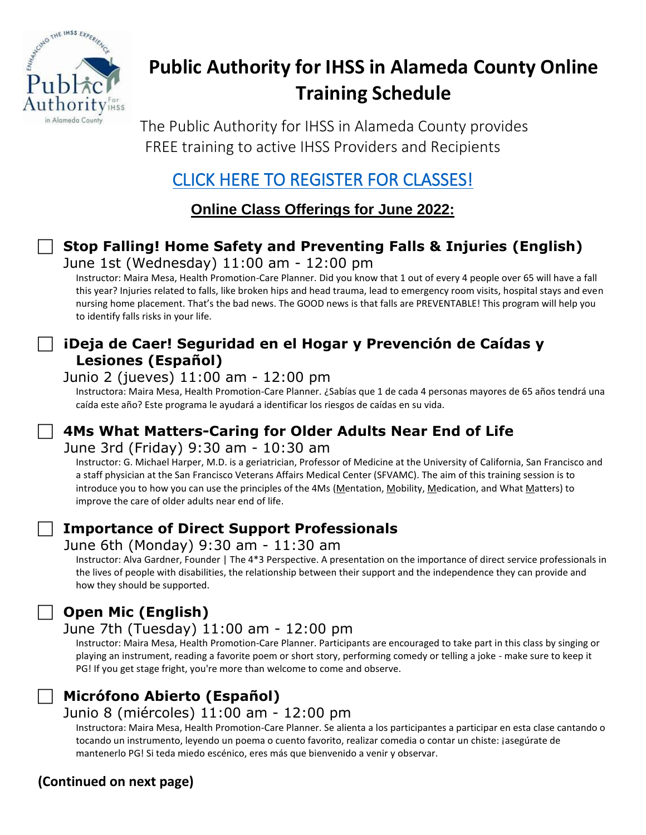

# **Public Authority for IHSS in Alameda County Online Training Schedule**

The Public Authority for IHSS in Alameda County provides FREE training to active IHSS Providers and Recipients

# [CLICK HERE TO REGISTER FOR CLASSES!](https://forms.office.com/g/gp44NfFCUJ)

**Online Class Offerings for June 2022:**

## **Stop Falling! Home Safety and Preventing Falls & Injuries (English)**

June 1st (Wednesday) 11:00 am - 12:00 pm

Instructor: Maira Mesa, Health Promotion-Care Planner. Did you know that 1 out of every 4 people over 65 will have a fall this year? Injuries related to falls, like broken hips and head trauma, lead to emergency room visits, hospital stays and even nursing home placement. That's the bad news. The GOOD news is that falls are PREVENTABLE! This program will help you to identify falls risks in your life.

### **¡Deja de Caer! Seguridad en el Hogar y Prevención de Caídas y Lesiones (Español)**

#### Junio 2 (jueves) 11:00 am - 12:00 pm

Instructora: Maira Mesa, Health Promotion-Care Planner. ¿Sabías que 1 de cada 4 personas mayores de 65 años tendrá una caída este año? Este programa le ayudará a identificar los riesgos de caídas en su vida.

# **4Ms What Matters-Caring for Older Adults Near End of Life**

#### June 3rd (Friday) 9:30 am - 10:30 am

Instructor: G. Michael Harper, M.D. is a geriatrician, Professor of Medicine at the University of California, San Francisco and a staff physician at the San Francisco Veterans Affairs Medical Center (SFVAMC). The aim of this training session is to introduce you to how you can use the principles of the 4Ms (Mentation, Mobility, Medication, and What Matters) to improve the care of older adults near end of life.

### **Importance of Direct Support Professionals**

#### June 6th (Monday) 9:30 am - 11:30 am

Instructor: Alva Gardner, Founder | The 4\*3 Perspective. A presentation on the importance of direct service professionals in the lives of people with disabilities, the relationship between their support and the independence they can provide and how they should be supported.

# **Open Mic (English)**

### June 7th (Tuesday) 11:00 am - 12:00 pm

Instructor: Maira Mesa, Health Promotion-Care Planner. Participants are encouraged to take part in this class by singing or playing an instrument, reading a favorite poem or short story, performing comedy or telling a joke - make sure to keep it PG! If you get stage fright, you're more than welcome to come and observe.

# **Micrófono Abierto (Español)**

### Junio 8 (miércoles) 11:00 am - 12:00 pm

Instructora: Maira Mesa, Health Promotion-Care Planner. Se alienta a los participantes a participar en esta clase cantando o tocando un instrumento, leyendo un poema o cuento favorito, realizar comedia o contar un chiste: ¡asegúrate de mantenerlo PG! Si teda miedo escénico, eres más que bienvenido a venir y observar.

# **(Continued on next page)**